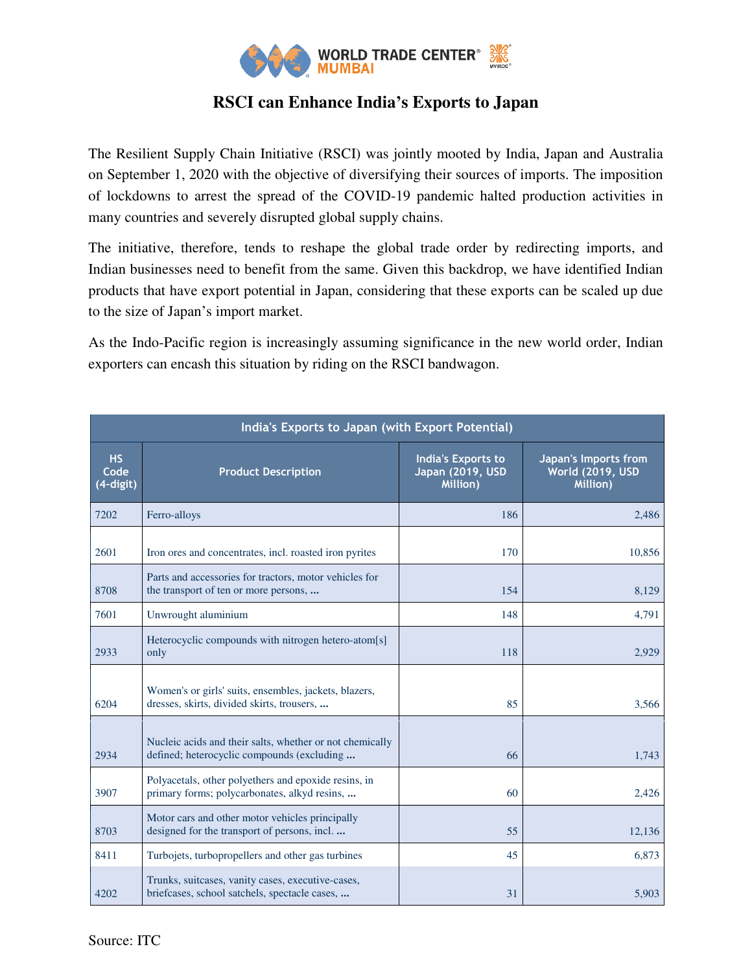

## **RSCI can Enhance India's Exports to Japan**

The Resilient Supply Chain Initiative (RSCI) was jointly mooted by India, Japan and Australia on September 1, 2020 with the objective of diversifying their sources of imports. The imposition of lockdowns to arrest the spread of the COVID-19 pandemic halted production activities in many countries and severely disrupted global supply chains.

The initiative, therefore, tends to reshape the global trade order by redirecting imports, and Indian businesses need to benefit from the same. Given this backdrop, we have identified Indian products that have export potential in Japan, considering that these exports can be scaled up due to the size of Japan's import market.

As the Indo-Pacific region is increasingly assuming significance in the new world order, Indian exporters can encash this situation by riding on the RSCI bandwagon.

| India's Exports to Japan (with Export Potential) |                                                                                                        |                                                           |                                                      |
|--------------------------------------------------|--------------------------------------------------------------------------------------------------------|-----------------------------------------------------------|------------------------------------------------------|
| <b>HS</b><br>Code<br>(4-digit)                   | <b>Product Description</b>                                                                             | <b>India's Exports to</b><br>Japan (2019, USD<br>Million) | Japan's Imports from<br>World (2019, USD<br>Million) |
| 7202                                             | Ferro-alloys                                                                                           | 186                                                       | 2,486                                                |
| 2601                                             | Iron ores and concentrates, incl. roasted iron pyrites                                                 | 170                                                       | 10,856                                               |
| 8708                                             | Parts and accessories for tractors, motor vehicles for<br>the transport of ten or more persons,        | 154                                                       | 8,129                                                |
| 7601                                             | Unwrought aluminium                                                                                    | 148                                                       | 4,791                                                |
| 2933                                             | Heterocyclic compounds with nitrogen hetero-atom[s]<br>only                                            | 118                                                       | 2,929                                                |
| 6204                                             | Women's or girls' suits, ensembles, jackets, blazers,<br>dresses, skirts, divided skirts, trousers,    | 85                                                        | 3,566                                                |
| 2934                                             | Nucleic acids and their salts, whether or not chemically<br>defined; heterocyclic compounds (excluding | 66                                                        | 1,743                                                |
| 3907                                             | Polyacetals, other polyethers and epoxide resins, in<br>primary forms; polycarbonates, alkyd resins,   | 60                                                        | 2,426                                                |
| 8703                                             | Motor cars and other motor vehicles principally<br>designed for the transport of persons, incl.        | 55                                                        | 12,136                                               |
| 8411                                             | Turbojets, turbopropellers and other gas turbines                                                      | 45                                                        | 6,873                                                |
| 4202                                             | Trunks, suitcases, vanity cases, executive-cases,<br>briefcases, school satchels, spectacle cases,     | 31                                                        | 5,903                                                |